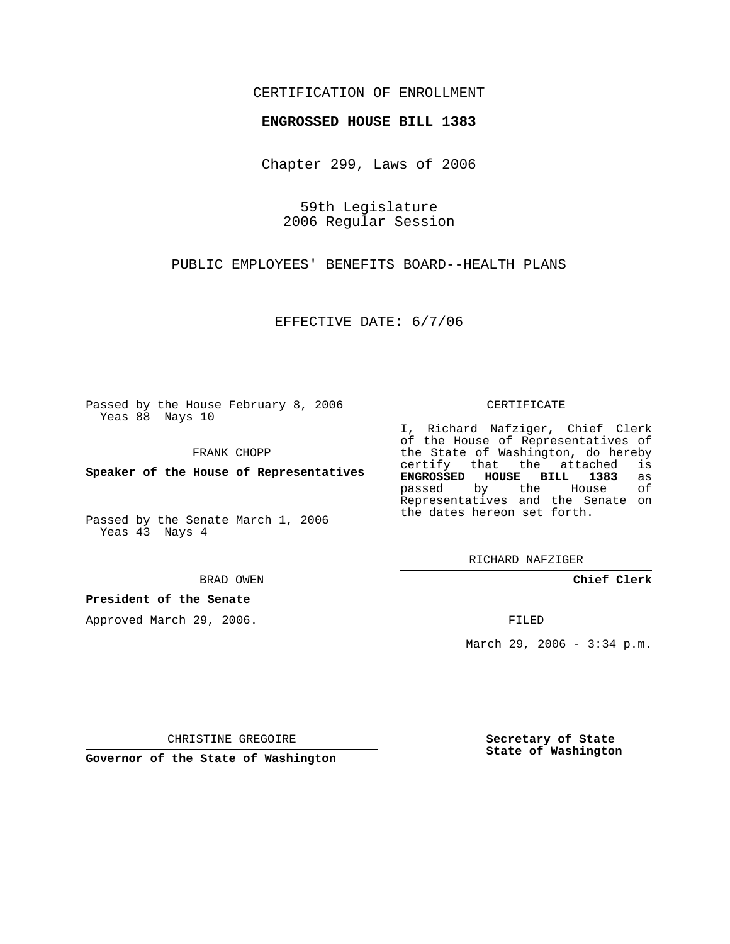## CERTIFICATION OF ENROLLMENT

#### **ENGROSSED HOUSE BILL 1383**

Chapter 299, Laws of 2006

59th Legislature 2006 Regular Session

PUBLIC EMPLOYEES' BENEFITS BOARD--HEALTH PLANS

EFFECTIVE DATE: 6/7/06

Passed by the House February 8, 2006 Yeas 88 Nays 10

FRANK CHOPP

**Speaker of the House of Representatives**

Passed by the Senate March 1, 2006 Yeas 43 Nays 4

BRAD OWEN

### **President of the Senate**

Approved March 29, 2006.

#### CERTIFICATE

I, Richard Nafziger, Chief Clerk of the House of Representatives of the State of Washington, do hereby<br>certify that the attached is certify that the attached is **ENGROSSED HOUSE BILL 1383** as passed by the House of Representatives and the Senate on the dates hereon set forth.

RICHARD NAFZIGER

**Chief Clerk**

FILED

March 29, 2006 - 3:34 p.m.

CHRISTINE GREGOIRE

**Governor of the State of Washington**

**Secretary of State State of Washington**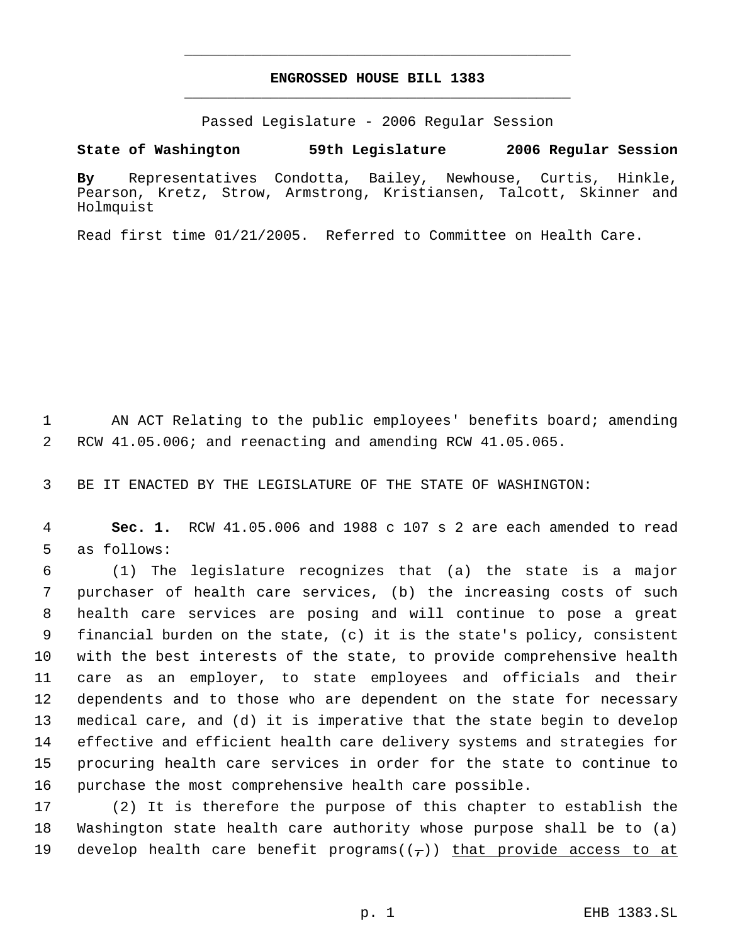# **ENGROSSED HOUSE BILL 1383** \_\_\_\_\_\_\_\_\_\_\_\_\_\_\_\_\_\_\_\_\_\_\_\_\_\_\_\_\_\_\_\_\_\_\_\_\_\_\_\_\_\_\_\_\_

\_\_\_\_\_\_\_\_\_\_\_\_\_\_\_\_\_\_\_\_\_\_\_\_\_\_\_\_\_\_\_\_\_\_\_\_\_\_\_\_\_\_\_\_\_

Passed Legislature - 2006 Regular Session

**State of Washington 59th Legislature 2006 Regular Session**

**By** Representatives Condotta, Bailey, Newhouse, Curtis, Hinkle, Pearson, Kretz, Strow, Armstrong, Kristiansen, Talcott, Skinner and Holmquist

Read first time 01/21/2005. Referred to Committee on Health Care.

 AN ACT Relating to the public employees' benefits board; amending RCW 41.05.006; and reenacting and amending RCW 41.05.065.

BE IT ENACTED BY THE LEGISLATURE OF THE STATE OF WASHINGTON:

 **Sec. 1.** RCW 41.05.006 and 1988 c 107 s 2 are each amended to read as follows:

 (1) The legislature recognizes that (a) the state is a major purchaser of health care services, (b) the increasing costs of such health care services are posing and will continue to pose a great financial burden on the state, (c) it is the state's policy, consistent with the best interests of the state, to provide comprehensive health care as an employer, to state employees and officials and their dependents and to those who are dependent on the state for necessary medical care, and (d) it is imperative that the state begin to develop effective and efficient health care delivery systems and strategies for procuring health care services in order for the state to continue to purchase the most comprehensive health care possible.

 (2) It is therefore the purpose of this chapter to establish the Washington state health care authority whose purpose shall be to (a) 19 develop health care benefit programs( $(\tau)$ ) that provide access to at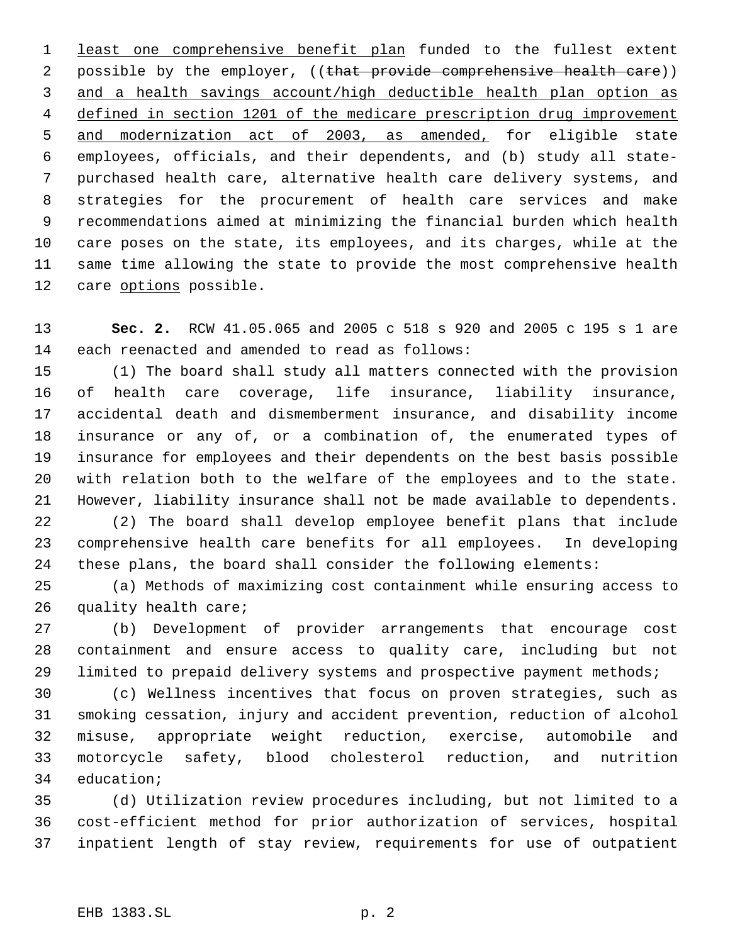1 least one comprehensive benefit plan funded to the fullest extent 2 possible by the employer, ((that provide comprehensive health care)) and a health savings account/high deductible health plan option as defined in section 1201 of the medicare prescription drug improvement and modernization act of 2003, as amended, for eligible state employees, officials, and their dependents, and (b) study all state- purchased health care, alternative health care delivery systems, and strategies for the procurement of health care services and make recommendations aimed at minimizing the financial burden which health care poses on the state, its employees, and its charges, while at the same time allowing the state to provide the most comprehensive health 12 care options possible.

 **Sec. 2.** RCW 41.05.065 and 2005 c 518 s 920 and 2005 c 195 s 1 are each reenacted and amended to read as follows:

 (1) The board shall study all matters connected with the provision of health care coverage, life insurance, liability insurance, accidental death and dismemberment insurance, and disability income insurance or any of, or a combination of, the enumerated types of insurance for employees and their dependents on the best basis possible with relation both to the welfare of the employees and to the state. However, liability insurance shall not be made available to dependents.

 (2) The board shall develop employee benefit plans that include comprehensive health care benefits for all employees. In developing these plans, the board shall consider the following elements:

 (a) Methods of maximizing cost containment while ensuring access to quality health care;

 (b) Development of provider arrangements that encourage cost containment and ensure access to quality care, including but not limited to prepaid delivery systems and prospective payment methods;

 (c) Wellness incentives that focus on proven strategies, such as smoking cessation, injury and accident prevention, reduction of alcohol misuse, appropriate weight reduction, exercise, automobile and motorcycle safety, blood cholesterol reduction, and nutrition education;

 (d) Utilization review procedures including, but not limited to a cost-efficient method for prior authorization of services, hospital inpatient length of stay review, requirements for use of outpatient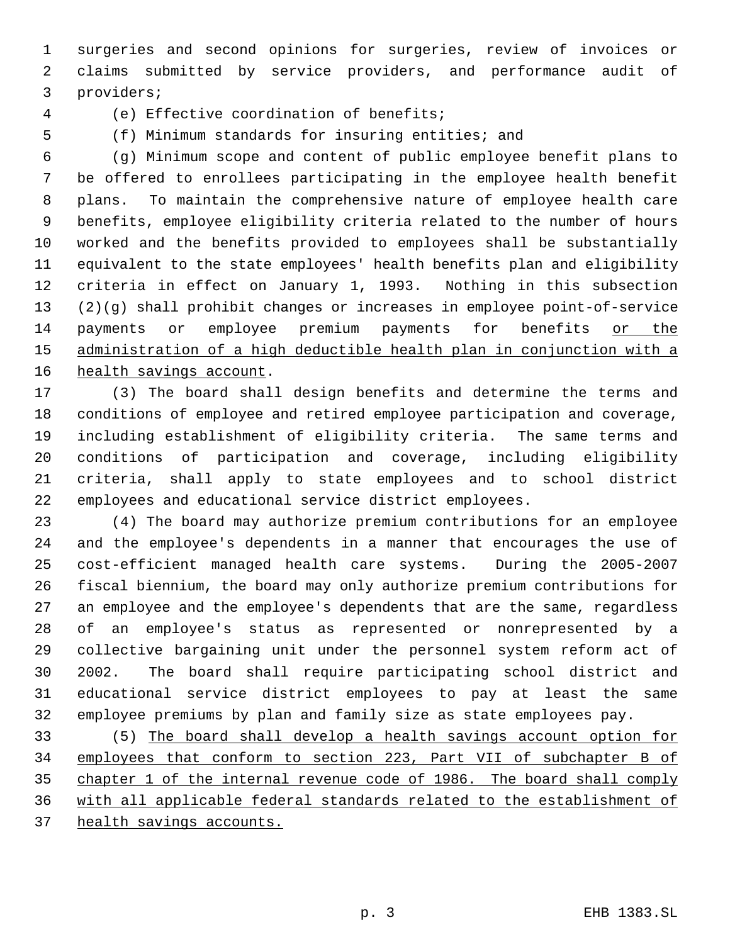surgeries and second opinions for surgeries, review of invoices or claims submitted by service providers, and performance audit of providers;

(e) Effective coordination of benefits;

(f) Minimum standards for insuring entities; and

 (g) Minimum scope and content of public employee benefit plans to be offered to enrollees participating in the employee health benefit plans. To maintain the comprehensive nature of employee health care benefits, employee eligibility criteria related to the number of hours worked and the benefits provided to employees shall be substantially equivalent to the state employees' health benefits plan and eligibility criteria in effect on January 1, 1993. Nothing in this subsection (2)(g) shall prohibit changes or increases in employee point-of-service payments or employee premium payments for benefits or the administration of a high deductible health plan in conjunction with a health savings account.

 (3) The board shall design benefits and determine the terms and conditions of employee and retired employee participation and coverage, including establishment of eligibility criteria. The same terms and conditions of participation and coverage, including eligibility criteria, shall apply to state employees and to school district employees and educational service district employees.

 (4) The board may authorize premium contributions for an employee and the employee's dependents in a manner that encourages the use of cost-efficient managed health care systems. During the 2005-2007 fiscal biennium, the board may only authorize premium contributions for an employee and the employee's dependents that are the same, regardless of an employee's status as represented or nonrepresented by a collective bargaining unit under the personnel system reform act of 2002. The board shall require participating school district and educational service district employees to pay at least the same employee premiums by plan and family size as state employees pay.

 (5) The board shall develop a health savings account option for employees that conform to section 223, Part VII of subchapter B of chapter 1 of the internal revenue code of 1986. The board shall comply with all applicable federal standards related to the establishment of health savings accounts.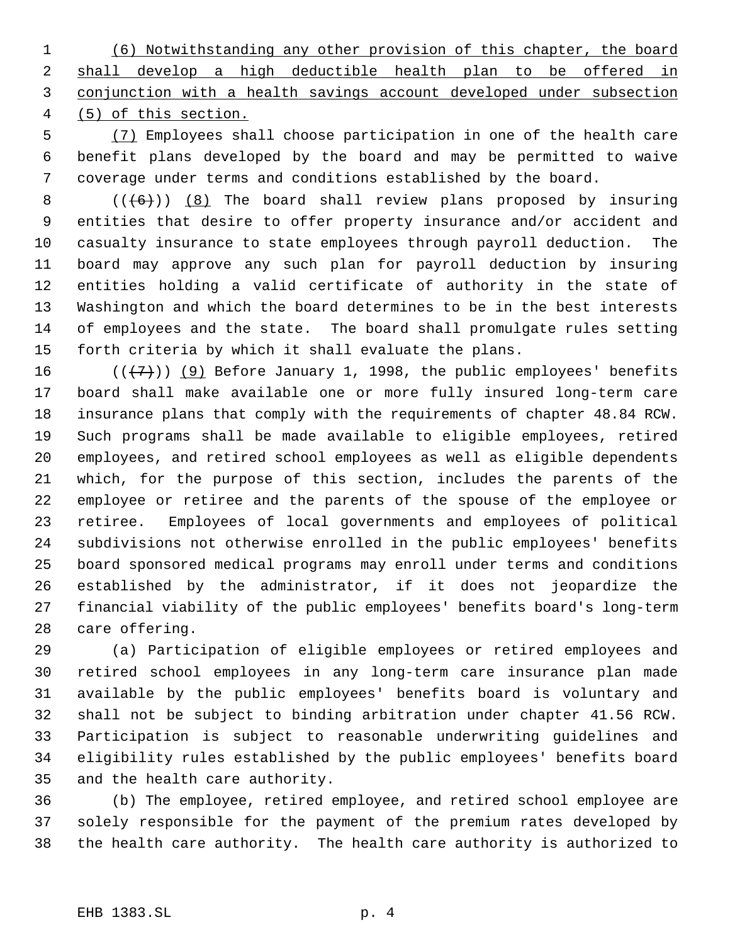(6) Notwithstanding any other provision of this chapter, the board shall develop a high deductible health plan to be offered in conjunction with a health savings account developed under subsection (5) of this section.

 (7) Employees shall choose participation in one of the health care benefit plans developed by the board and may be permitted to waive coverage under terms and conditions established by the board.

 $((+6))$   $(8)$  The board shall review plans proposed by insuring entities that desire to offer property insurance and/or accident and casualty insurance to state employees through payroll deduction. The board may approve any such plan for payroll deduction by insuring entities holding a valid certificate of authority in the state of Washington and which the board determines to be in the best interests of employees and the state. The board shall promulgate rules setting forth criteria by which it shall evaluate the plans.

 $((+7))$  (9) Before January 1, 1998, the public employees' benefits board shall make available one or more fully insured long-term care insurance plans that comply with the requirements of chapter 48.84 RCW. Such programs shall be made available to eligible employees, retired employees, and retired school employees as well as eligible dependents which, for the purpose of this section, includes the parents of the employee or retiree and the parents of the spouse of the employee or retiree. Employees of local governments and employees of political subdivisions not otherwise enrolled in the public employees' benefits board sponsored medical programs may enroll under terms and conditions established by the administrator, if it does not jeopardize the financial viability of the public employees' benefits board's long-term care offering.

 (a) Participation of eligible employees or retired employees and retired school employees in any long-term care insurance plan made available by the public employees' benefits board is voluntary and shall not be subject to binding arbitration under chapter 41.56 RCW. Participation is subject to reasonable underwriting guidelines and eligibility rules established by the public employees' benefits board and the health care authority.

 (b) The employee, retired employee, and retired school employee are solely responsible for the payment of the premium rates developed by the health care authority. The health care authority is authorized to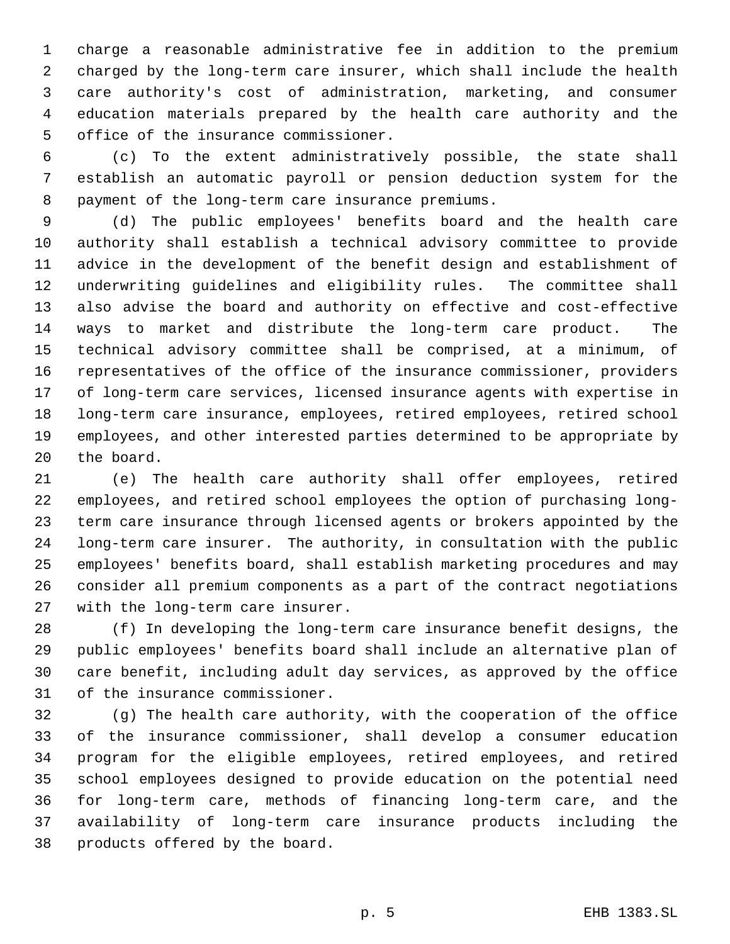charge a reasonable administrative fee in addition to the premium charged by the long-term care insurer, which shall include the health care authority's cost of administration, marketing, and consumer education materials prepared by the health care authority and the office of the insurance commissioner.

 (c) To the extent administratively possible, the state shall establish an automatic payroll or pension deduction system for the payment of the long-term care insurance premiums.

 (d) The public employees' benefits board and the health care authority shall establish a technical advisory committee to provide advice in the development of the benefit design and establishment of underwriting guidelines and eligibility rules. The committee shall also advise the board and authority on effective and cost-effective ways to market and distribute the long-term care product. The technical advisory committee shall be comprised, at a minimum, of representatives of the office of the insurance commissioner, providers of long-term care services, licensed insurance agents with expertise in long-term care insurance, employees, retired employees, retired school employees, and other interested parties determined to be appropriate by the board.

 (e) The health care authority shall offer employees, retired employees, and retired school employees the option of purchasing long- term care insurance through licensed agents or brokers appointed by the long-term care insurer. The authority, in consultation with the public employees' benefits board, shall establish marketing procedures and may consider all premium components as a part of the contract negotiations with the long-term care insurer.

 (f) In developing the long-term care insurance benefit designs, the public employees' benefits board shall include an alternative plan of care benefit, including adult day services, as approved by the office of the insurance commissioner.

 (g) The health care authority, with the cooperation of the office of the insurance commissioner, shall develop a consumer education program for the eligible employees, retired employees, and retired school employees designed to provide education on the potential need for long-term care, methods of financing long-term care, and the availability of long-term care insurance products including the products offered by the board.